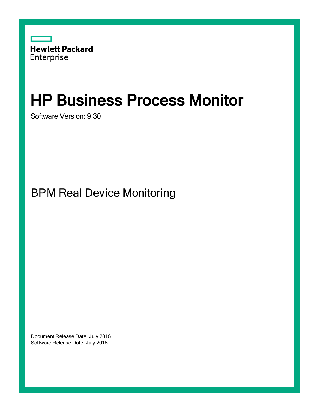

# HP Business Process Monitor

Software Version: 9.30

BPM Real Device Monitoring

Document Release Date: July 2016 Software Release Date: July 2016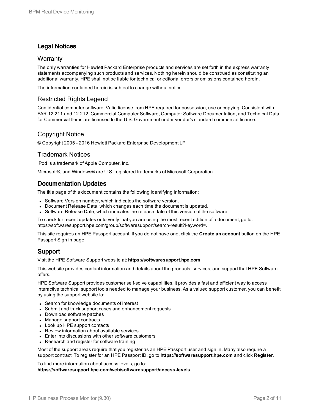### Legal Notices

### **Warranty**

The only warranties for Hewlett Packard Enterprise products and services are set forth in the express warranty statements accompanying such products and services. Nothing herein should be construed as constituting an additional warranty. HPE shall not be liable for technical or editorial errors or omissions contained herein.

The information contained herein is subject to change without notice.

### Restricted Rights Legend

Confidential computer software. Valid license from HPE required for possession, use or copying. Consistent with FAR 12.211 and 12.212, Commercial Computer Software, Computer Software Documentation, and Technical Data for Commercial Items are licensed to the U.S. Government under vendor's standard commercial license.

### Copyright Notice

© Copyright 2005 - 2016 Hewlett Packard Enterprise Development LP

### Trademark Notices

iPod is a trademark of Apple Computer, Inc.

Microsoft®, and Windows® are U.S. registered trademarks of Microsoft Corporation.

### Documentation Updates

The title page of this document contains the following identifying information:

- Software Version number, which indicates the software version.
- Document Release Date, which changes each time the document is updated.
- <sup>l</sup> Software Release Date, which indicates the release date of this version of the software.

To check for recent updates or to verify that you are using the most recent edition of a document, go to: https://softwaresupport.hpe.com/group/softwaresupport/search-result?keyword=.

This site requires an HPE Passport account. If you do not have one, click the **Create an account** button on the HPE Passport Sign in page.

### Support

Visit the HPE Software Support website at: **https://softwaresupport.hpe.com**

This website provides contact information and details about the products, services, and support that HPE Software offers.

HPE Software Support provides customer self-solve capabilities. It provides a fast and efficient way to access interactive technical support tools needed to manage your business. As a valued support customer, you can benefit by using the support website to:

- Search for knowledge documents of interest
- Submit and track support cases and enhancement requests
- Download software patches
- Manage support contracts
- Look up HPE support contacts
- Review information about available services
- Enter into discussions with other software customers
- Research and register for software training

Most of the support areas require that you register as an HPE Passport user and sign in. Many also require a support contract. To register for an HPE Passport ID, go to **https://softwaresupport.hpe.com** and click **Register**.

To find more information about access levels, go to: **https://softwaresupport.hpe.com/web/softwaresupport/access-levels**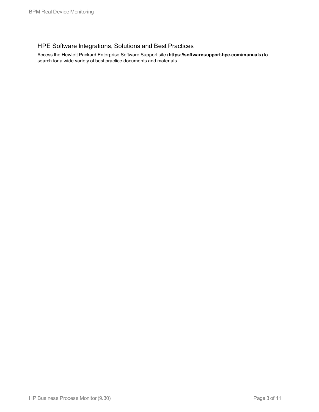### HPE Software Integrations, Solutions and Best Practices

Access the Hewlett Packard Enterprise Software Support site (**https://softwaresupport.hpe.com/manuals**) to search for a wide variety of best practice documents and materials.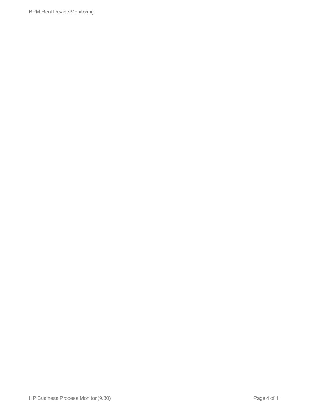BPM Real Device Monitoring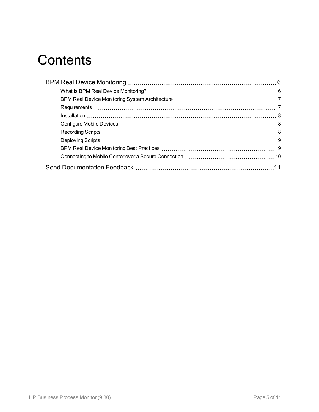# **Contents**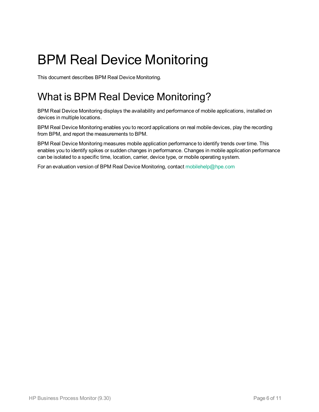# <span id="page-5-0"></span>BPM Real Device Monitoring

<span id="page-5-1"></span>This document describes BPM Real Device Monitoring.

## What is BPM Real Device Monitoring?

BPM Real Device Monitoring displays the availability and performance of mobile applications, installed on devices in multiple locations.

BPM Real Device Monitoring enables you to record applications on real mobile devices, play the recording from BPM, and report the measurements to BPM.

BPM Real Device Monitoring measures mobile application performance to identify trends over time. This enables you to identify spikes or sudden changes in performance. Changes in mobile application performance can be isolated to a specific time, location, carrier, device type, or mobile operating system.

For an evaluation version of BPM Real Device Monitoring, contact [mobilehelp@hpe.com](mailto:mobilehelp@hpe.com?subject=BPM Real Device Monitoring)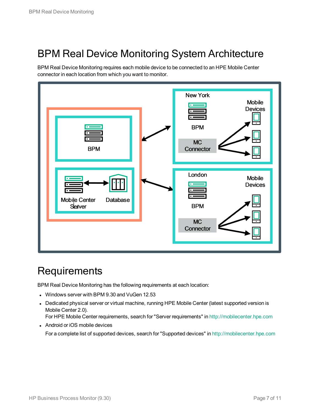# <span id="page-6-0"></span>BPM Real Device Monitoring System Architecture

BPM Real Device Monitoring requires each mobile device to be connected to an HPE Mobile Center connector in each location from which you want to monitor.



### <span id="page-6-1"></span>**Requirements**

BPM Real Device Monitoring has the following requirements at each location:

- Windows server with BPM 9.30 and VuGen 12.53
- Dedicated physical server or virtual machine, running HPE Mobile Center (latest supported version is Mobile Center 2.0).
	- For HPE Mobile Center requirements, search for "Server requirements" in [http://mobilecenter.hpe.com](http://mobilecenter.hpe.com/)
- Android or iOS mobile devices

For a complete list of supported devices, search for "Supported devices" in [http://mobilecenter.hpe.com](http://mobilecenter.hpe.com/)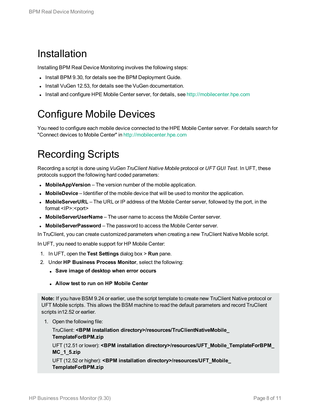### <span id="page-7-0"></span>Installation

Installing BPM Real Device Monitoring involves the following steps:

- Install BPM 9.30, for details see the BPM Deployment Guide.
- Install VuGen 12.53, for details see the VuGen documentation.
- <span id="page-7-1"></span>• Install and configure HPE Mobile Center server, for details, see [http://mobilecenter.hpe.com](http://mobilecenter.hpe.com/)

# Configure Mobile Devices

<span id="page-7-2"></span>You need to configure each mobile device connected to the HPE Mobile Center server. For details search for "Connect devices to Mobile Center" in [http://mobilecenter.hpe.com](http://mobilecenter.hpe.com/)

# Recording Scripts

Recording a script is done using *VuGen TruClient Native Mobile* protocol or *UFT GUI Test*. In UFT, these protocols support the following hard coded parameters:

- **MobileAppVersion** The version number of the mobile application.
- **MobileDevice** Identifier of the mobile device that will be used to monitor the application.
- MobileServerURL The URL or IP address of the Mobile Center server, followed by the port, in the format <IP>:<port>
- **MobileServerUserName** The user name to access the Mobile Center server.
- **MobileServerPassword** The password to access the Mobile Center server.

In TruClient, you can create customized parameters when creating a new TruClient Native Mobile script.

In UFT, you need to enable support for HP Mobile Center:

- 1. In UFT, open the **Test Settings** dialog box > **Run** pane.
- 2. Under **HP Business Process Monitor**, select the following:
	- <sup>l</sup> **Save image of desktop when error occurs**
	- <sup>l</sup> **Allow test to run on HP Mobile Center**

**Note:** If you have BSM 9.24 or earlier, use the script template to create new TruClient Native protocol or UFT Mobile scripts. This allows the BSM machine to read the default parameters and record TruClient scripts in12.52 or earlier.

1. Open the following file:

TruClient: **<BPM installation directory>/resources/TruClientNativeMobile\_ TemplateForBPM.zip**

UFT (12.51 or lower): **<BPM installation directory>/resources/UFT\_Mobile\_TemplateForBPM\_ MC\_1\_5.zip**

UFT (12.52 or higher): **<BPM installation directory>/resources/UFT\_Mobile\_ TemplateForBPM.zip**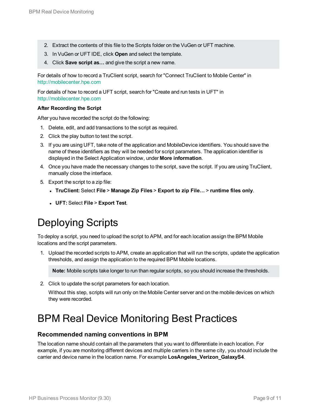- 2. Extract the contents of this file to the Scripts folder on the VuGen or UFT machine.
- 3. In VuGen or UFT IDE, click **Open** and select the template.
- 4. Click **Save script as…** and give the script a new name.

For details of how to record a TruClient script, search for "Connect TruClient to Mobile Center" in [http://mobilecenter.hpe.com](http://mobilecenter.hpe.com/)

For details of how to record a UFT script, search for "Create and run tests in UFT" in [http://mobilecenter.hpe.com](http://mobilecenter.hpe.com/)

#### **After Recording the Script**

After you have recorded the script do the following:

- 1. Delete, edit, and add transactions to the script as required.
- 2. Click the play button to test the script.
- 3. If you are using UFT, take note of the application and MobileDevice identifiers. You should save the name of these identifiers as they will be needed for script parameters. The application identifier is displayed in the Select Application window, under **More information**.
- 4. Once you have made the necessary changes to the script, save the script. If you are using TruClient, manually close the interface.
- 5. Export the script to a zip file:
	- <sup>l</sup> **TruClient:** Select **File** > **Manage Zip Files** > **Export to zip File…** > **runtime files only**.
	- <sup>l</sup> **UFT:** Select **File** > **Export Test**.

## <span id="page-8-0"></span>Deploying Scripts

To deploy a script, you need to upload the script to APM, and for each location assign the BPM Mobile locations and the script parameters.

1. Upload the recorded scripts to APM, create an application that will run the scripts, update the application thresholds, and assign the application to the required BPM Mobile locations.

**Note:** Mobile scripts take longer to run than regular scripts, so you should increase the thresholds.

2. Click to update the script parameters for each location.

Without this step, scripts will run only on the Mobile Center server and on the mobile devices on which they were recorded.

### <span id="page-8-1"></span>BPM Real Device Monitoring Best Practices

### **Recommended naming conventions in BPM**

The location name should contain all the parameters that you want to differentiate in each location. For example, if you are monitoring different devices and multiple carriers in the same city, you should include the carrier and device name in the location name. For example **LosAngeles\_Verizon\_GalaxyS4**.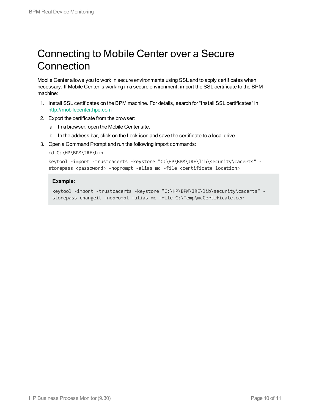## <span id="page-9-0"></span>Connecting to Mobile Center over a Secure **Connection**

Mobile Center allows you to work in secure environments using SSL and to apply certificates when necessary. If Mobile Center is working in a secure environment, import the SSL certificate to the BPM machine:

- 1. Install SSL certificates on the BPM machine. For details, search for "Install SSL certificates" in [http://mobilecenter.hpe.com](http://mobilecenter.hpe.com/)
- 2. Export the certificate from the browser:
	- a. In a browser, open the Mobile Center site.
	- b. In the address bar, click on the Lock icon and save the certificate to a local drive.
- 3. Open a Command Prompt and run the following import commands:

```
cd C:\HP\BPM\JRE\bin
```

```
keytool -import -trustcacerts -keystore "C:\HP\BPM\JRE\lib\security\cacerts" -
storepass <passoword> -noprompt -alias mc -file <certificate location>
```
#### **Example:**

```
keytool -import -trustcacerts -keystore "C:\HP\BPM\JRE\lib\security\cacerts" -
storepass changeit -noprompt -alias mc -file C:\Temp\mcCertificate.cer
```